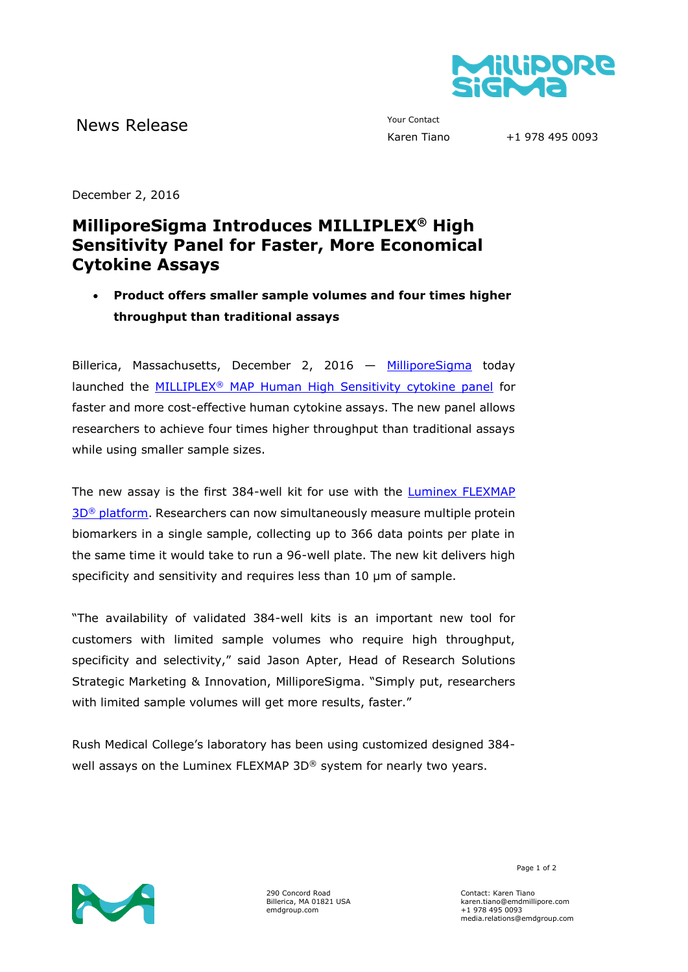

News Release The Contact Your Contact Trans

+1 978 495 0093

December 2, 2016

## **MilliporeSigma Introduces MILLIPLEX® High Sensitivity Panel for Faster, More Economical Cytokine Assays**

 **Product offers smaller sample volumes and four times higher throughput than traditional assays**

Billerica, Massachusetts, December 2, 2016 — [MilliporeSigma](http://www.emdgroup.com/emd/products/life_science/life_science.html) today launched the MILLIPLEX® [MAP Human High Sensitivity cytokine panel](https://www.emdmillipore.com/US/en/life-science-research/protein-detection-quantification/Immunoassay-Platform-Solutions/milliplex-multiplex-assays-using-luminex/UjGb.qB.8WQAAAE_rn8RHeN.,nav;pgid=WZtMKfaYs81SRpEoh9VgbI720000rDeRfIsr;sid=DOHwSYp6jvvASd3sS2DhwWQvtWcyFv78hY-FXAao-d1whwIU1CNaaaw60yM0UdhYHm3eUFkMz9wJ4TndqJujkO_4bkB0QBM8Jp-0r8neUu8kv4AB1zhItyzktMSIhz02D6X6MlGjhI8oi0lH9UlJz0gl%20-%20well) for faster and more cost-effective human cytokine assays. The new panel allows researchers to achieve four times higher throughput than traditional assays while using smaller sample sizes.

The new assay is the first 384-well kit for use with the [Luminex FLEXMAP](https://www.emdmillipore.com/US/en/life-science-research/protein-detection-quantification/Immunoassay-Platform-Solutions/luminex-instruments/flexmap-3D/SSab.qB.ldQAAAFBE20RRk_T,nav)  3D<sup>®</sup> [platform.](https://www.emdmillipore.com/US/en/life-science-research/protein-detection-quantification/Immunoassay-Platform-Solutions/luminex-instruments/flexmap-3D/SSab.qB.ldQAAAFBE20RRk_T,nav) Researchers can now simultaneously measure multiple protein biomarkers in a single sample, collecting up to 366 data points per plate in the same time it would take to run a 96-well plate. The new kit delivers high specificity and sensitivity and requires less than 10  $\mu$ m of sample.

"The availability of validated 384-well kits is an important new tool for customers with limited sample volumes who require high throughput, specificity and selectivity," said Jason Apter, Head of Research Solutions Strategic Marketing & Innovation, MilliporeSigma. "Simply put, researchers with limited sample volumes will get more results, faster."

Rush Medical College's laboratory has been using customized designed 384 well assays on the Luminex FLEXMAP 3D® system for nearly two years.



290 Concord Road Billerica, MA 01821 USA emdgroup.com

Page 1 of 2

Contact: Karen Tiano karen.tiano@emdmillipore.com +1 978 495 0093 media.relations@emdgroup.com